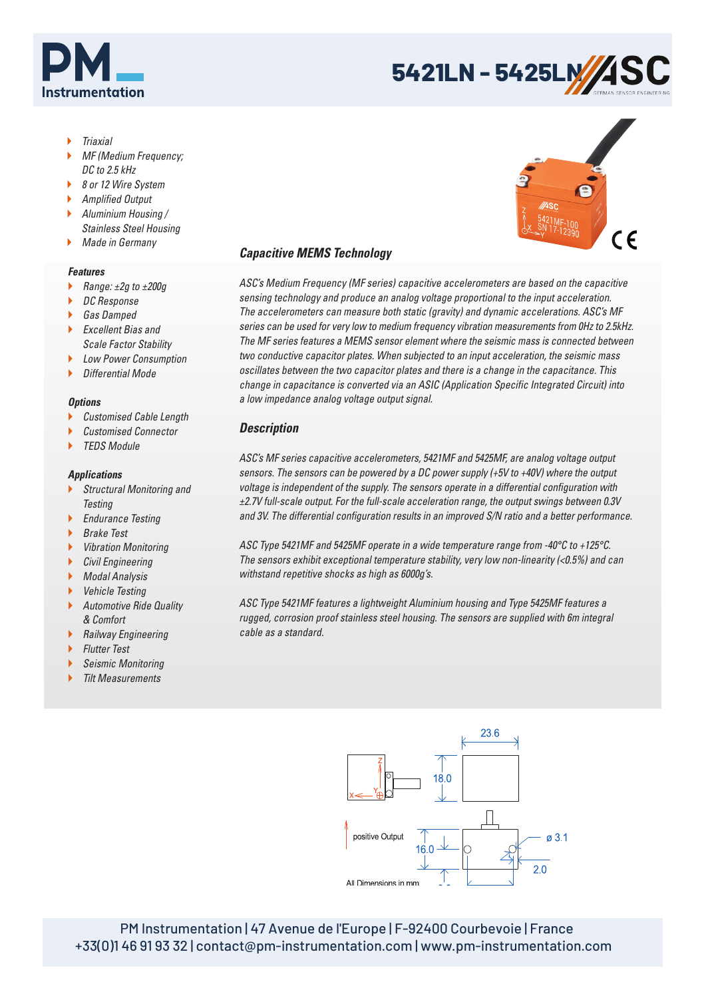



- Triaxial
- MF (Medium Frequency; DC to 2.5 kHz
- ▶ 8 or 12 Wire System
- Amplified Output
- Aluminium Housing / Stainless Steel Housing
- **Made in Germany**

#### *Features*

- Range:  $\pm 2g$  to  $\pm 200g$
- DC Response
- ▶ Gas Damped
- ▶ Excellent Bias and Scale Factor Stability
- ▶ Low Power Consumption
- $\blacktriangleright$  Differential Mode

### *Options*

- Customised Cable Length
- Customised Connector
- TEDS Module

### *Applications*

- Structural Monitoring and **Testing**
- **Endurance Testing**
- Brake Test
- Vibration Monitoring
- Civil Engineering
- ▶ Modal Analysis
- Vehicle Testing
- Automotive Ride Quality & Comfort
- **Railway Engineering**
- **Flutter Test**
- ▶ Seismic Monitoring
- Tilt Measurements

# *Capacitive MEMS Technology*

ASC's Medium Frequency (MF series) capacitive accelerometers are based on the capacitive sensing technology and produce an analog voltage proportional to the input acceleration. The accelerometers can measure both static (gravity) and dynamic accelerations. ASC's MF series can be used for very low to medium frequency vibration measurements from 0Hz to 2.5kHz. The MF series features a MEMS sensor element where the seismic mass is connected between two conductive capacitor plates. When subjected to an input acceleration, the seismic mass oscillates between the two capacitor plates and there is a change in the capacitance. This change in capacitance is converted via an ASIC (Application Specific Integrated Circuit) into a low impedance analog voltage output signal.

## *Description*

ASC's MF series capacitive accelerometers, 5421MF and 5425MF, are analog voltage output sensors. The sensors can be powered by a DC power supply (+5V to +40V) where the output voltage is independent of the supply. The sensors operate in a differential configuration with ±2.7V full-scale output. For the full-scale acceleration range, the output swings between 0.3V and 3V. The differential configuration results in an improved S/N ratio and a better performance.

ASC Type 5421MF and 5425MF operate in a wide temperature range from -40°C to +125°C. The sensors exhibit exceptional temperature stability, very low non-linearity (<0.5%) and can withstand repetitive shocks as high as 6000g's.

ASC Type 5421MF features a lightweight Aluminium housing and Type 5425MF features a rugged, corrosion proof stainless steel housing. The sensors are supplied with 6m integral cable as a standard.



PM Instrumentation | 47 Avenue de l'Europe | F-92400 Courbevoie | France +33(0)1 46 91 93 32 | contact@pm-instrumentation.com | www.pm-instrumentation.com

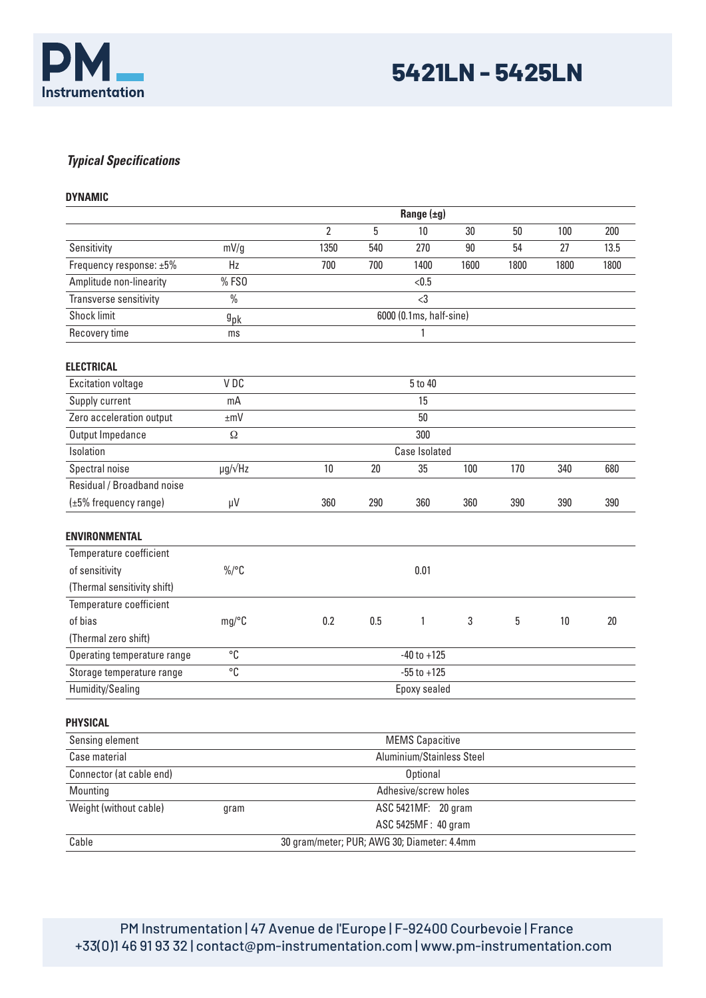

# *Typical Specifications*

|  |  |  | DYNAMIC |
|--|--|--|---------|
|  |  |  |         |

|                             |                        | Range $(\pm g)$                             |                 |                         |        |      |      |      |
|-----------------------------|------------------------|---------------------------------------------|-----------------|-------------------------|--------|------|------|------|
|                             |                        | $\overline{2}$                              | 5               | 10                      | 30     | 50   | 100  | 200  |
| Sensitivity                 | mV/g                   | 1350                                        | 540             | 270                     | $90\,$ | 54   | 27   | 13.5 |
| Frequency response: ±5%     | Hz                     | 700                                         | 700             | 1400                    | 1600   | 1800 | 1800 | 1800 |
| Amplitude non-linearity     | % FS0                  |                                             |                 | < 0.5                   |        |      |      |      |
| Transverse sensitivity      | $\%$                   |                                             |                 | $3$                     |        |      |      |      |
| <b>Shock limit</b>          | $9$ pk                 |                                             |                 | 6000 (0.1ms, half-sine) |        |      |      |      |
| Recovery time               | ms                     |                                             |                 | 1                       |        |      |      |      |
| <b>ELECTRICAL</b>           |                        |                                             |                 |                         |        |      |      |      |
| <b>Excitation voltage</b>   | VDC                    |                                             |                 | 5 to 40                 |        |      |      |      |
| Supply current              | mA                     |                                             |                 | 15                      |        |      |      |      |
| Zero acceleration output    | $\pm mV$               |                                             |                 | 50                      |        |      |      |      |
| Output Impedance            | Ω                      |                                             |                 | 300                     |        |      |      |      |
| Isolation                   |                        |                                             |                 | <b>Case Isolated</b>    |        |      |      |      |
| Spectral noise              | $\mu$ g/ $\sqrt{Hz}$   | 10                                          | 20              | 35                      | 100    | 170  | 340  | 680  |
| Residual / Broadband noise  |                        |                                             |                 |                         |        |      |      |      |
| (±5% frequency range)       | $\mu V$                | 360                                         | 290             | 360                     | 360    | 390  | 390  | 390  |
| <b>ENVIRONMENTAL</b>        |                        |                                             |                 |                         |        |      |      |      |
| Temperature coefficient     |                        |                                             |                 |                         |        |      |      |      |
| of sensitivity              | $\%$ /°C               |                                             |                 | 0.01                    |        |      |      |      |
| (Thermal sensitivity shift) |                        |                                             |                 |                         |        |      |      |      |
| Temperature coefficient     |                        |                                             |                 |                         |        |      |      |      |
| of bias                     | mg/C                   | 0.2                                         | 0.5             | 1                       | 3      | 5    | 10   | 20   |
| (Thermal zero shift)        |                        |                                             |                 |                         |        |      |      |      |
| Operating temperature range | °C                     |                                             | $-40$ to $+125$ |                         |        |      |      |      |
| Storage temperature range   | $^{\circ}{\mathbb C}$  |                                             | $-55$ to $+125$ |                         |        |      |      |      |
| Humidity/Sealing            |                        |                                             | Epoxy sealed    |                         |        |      |      |      |
| <b>PHYSICAL</b>             |                        |                                             |                 |                         |        |      |      |      |
| Sensing element             | <b>MEMS Capacitive</b> |                                             |                 |                         |        |      |      |      |
| Case material               |                        | Aluminium/Stainless Steel                   |                 |                         |        |      |      |      |
| Connector (at cable end)    |                        |                                             |                 | <b>Optional</b>         |        |      |      |      |
| Mounting                    |                        |                                             |                 | Adhesive/screw holes    |        |      |      |      |
| Weight (without cable)      | gram                   |                                             |                 | ASC 5421MF: 20 gram     |        |      |      |      |
|                             |                        |                                             |                 | ASC 5425MF: 40 gram     |        |      |      |      |
| Cable                       |                        | 30 gram/meter; PUR; AWG 30; Diameter: 4.4mm |                 |                         |        |      |      |      |

PM Instrumentation | 47 Avenue de l'Europe | F-92400 Courbevoie | France +33(0)1 46 91 93 32 | contact@pm-instrumentation.com | www.pm-instrumentation.com